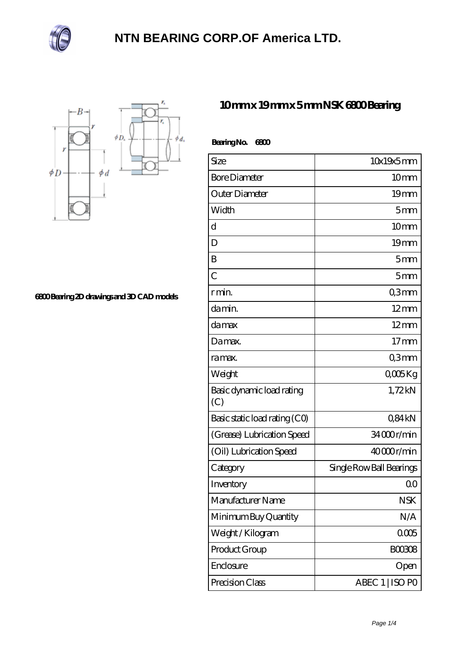



**[6800 Bearing 2D drawings and 3D CAD models](https://m.ilustradorainfantil.com/pic-312681.html)**

## **[10 mm x 19 mm x 5 mm NSK 6800 Bearing](https://m.ilustradorainfantil.com/nsk-6800-bearing/)**

| BearingNo.<br>6800               |                          |
|----------------------------------|--------------------------|
| Size                             | 10x19x5mm                |
| <b>Bore Diameter</b>             | 10 <sub>mm</sub>         |
| Outer Diameter                   | 19 <sub>mm</sub>         |
| Width                            | 5mm                      |
| d                                | 10 <sub>mm</sub>         |
| D                                | 19 <sub>mm</sub>         |
| B                                | 5mm                      |
| $\overline{C}$                   | 5 <sub>mm</sub>          |
| r min.                           | Q3mm                     |
| da min.                          | $12 \text{mm}$           |
| damax                            | $12 \text{mm}$           |
| Damax.                           | $17 \text{mm}$           |
| ra max.                          | Q3mm                     |
| Weight                           | QOOSKg                   |
| Basic dynamic load rating<br>(C) | 1,72kN                   |
| Basic static load rating (CO)    | Q84kN                    |
| (Grease) Lubrication Speed       | 34000r/min               |
| (Oil) Lubrication Speed          | 40000r/min               |
| Category                         | Single Row Ball Bearings |
| Inventory                        | 0 <sub>0</sub>           |
| Manufacturer Name                | <b>NSK</b>               |
| Minimum Buy Quantity             | N/A                      |
| Weight / Kilogram                | 0005                     |
| Product Group                    | BOO3O8                   |
| Enclosure                        | Open                     |
| Precision Class                  | ABEC 1   ISO PO          |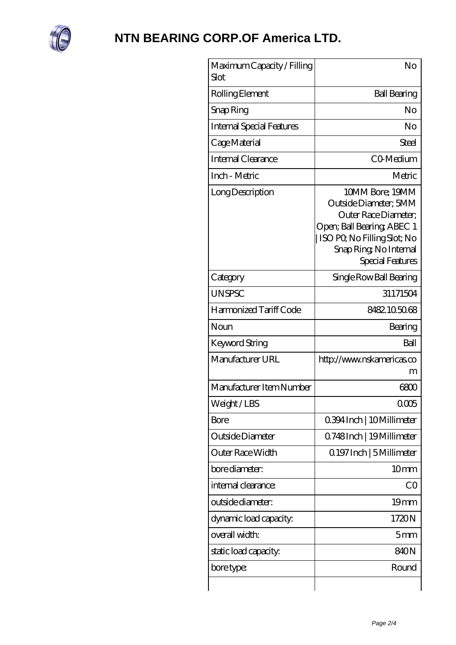

| Maximum Capacity / Filling<br>Slot | No                                                                                                                                                                          |
|------------------------------------|-----------------------------------------------------------------------------------------------------------------------------------------------------------------------------|
| Rolling Element                    | <b>Ball Bearing</b>                                                                                                                                                         |
| Snap Ring                          | No                                                                                                                                                                          |
| <b>Internal Special Features</b>   | No                                                                                                                                                                          |
| Cage Material                      | Steel                                                                                                                                                                       |
| Internal Clearance                 | CO-Medium                                                                                                                                                                   |
| Inch - Metric                      | Metric                                                                                                                                                                      |
| Long Description                   | 10MM Bore; 19MM<br>Outside Diameter; 5MM<br>Outer Race Diameter;<br>Open; Ball Bearing; ABEC 1<br>ISO PO, No Filling Slot; No<br>Snap Ring, No Internal<br>Special Features |
| Category                           | Single Row Ball Bearing                                                                                                                                                     |
| <b>UNSPSC</b>                      | 31171504                                                                                                                                                                    |
| Harmonized Tariff Code             | 8482105068                                                                                                                                                                  |
| Noun                               | Bearing                                                                                                                                                                     |
| Keyword String                     | Ball                                                                                                                                                                        |
| Manufacturer URL                   | http://www.nskamericas.co<br>m                                                                                                                                              |
| Manufacturer Item Number           | 6800                                                                                                                                                                        |
| Weight / LBS                       | 0005                                                                                                                                                                        |
| Bore                               | 0.394 Inch   10 Millimeter                                                                                                                                                  |
| Outside Diameter                   | Q748Inch   19Millimeter                                                                                                                                                     |
| Outer Race Width                   | Q 197 Inch   5 Millimeter                                                                                                                                                   |
| bore diameter:                     | 10mm                                                                                                                                                                        |
| internal clearance:                | CO                                                                                                                                                                          |
| outside diameter:                  | 19 <sub>mm</sub>                                                                                                                                                            |
| dynamic load capacity:             | 1720N                                                                                                                                                                       |
| overall width:                     | 5 <sub>mm</sub>                                                                                                                                                             |
| static load capacity.              | 840N                                                                                                                                                                        |
| bore type:                         | Round                                                                                                                                                                       |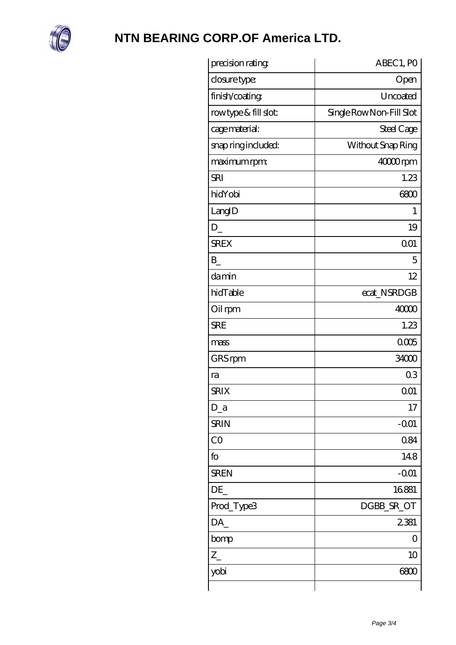

| precision rating     | ABEC 1, PO               |
|----------------------|--------------------------|
| closure type:        | Open                     |
| finish/coating       | Uncoated                 |
| rowtype & fill slot: | Single Row Non-Fill Slot |
| cage material:       | Steel Cage               |
| snap ring included:  | Without Snap Ring        |
| maximum rpm:         | 40000rpm                 |
| <b>SRI</b>           | 1.23                     |
| hidYobi              | 6800                     |
| LangID               | 1                        |
| D                    | 19                       |
| <b>SREX</b>          | 001                      |
| $\mathbf{B}$         | 5                        |
| damin                | 12                       |
| hidTable             | ecat_NSRDGB              |
| Oil rpm              | 40000                    |
| <b>SRE</b>           | 1.23                     |
| mass                 | 0005                     |
| GRS rpm              | 34000                    |
| ra                   | 03                       |
| <b>SRIX</b>          | 001                      |
| $D_a$                | 17                       |
| <b>SRIN</b>          | $-OO1$                   |
| CO                   | 0.84                     |
| fo                   | 148                      |
| <b>SREN</b>          | $-0.01$                  |
| DE                   | 16881                    |
| Prod_Type3           | DGBB_SR_OT               |
| DA_                  | 2381                     |
| bomp                 | 0                        |
| $Z_{-}$              | 10                       |
| yobi                 | 6800                     |
|                      |                          |